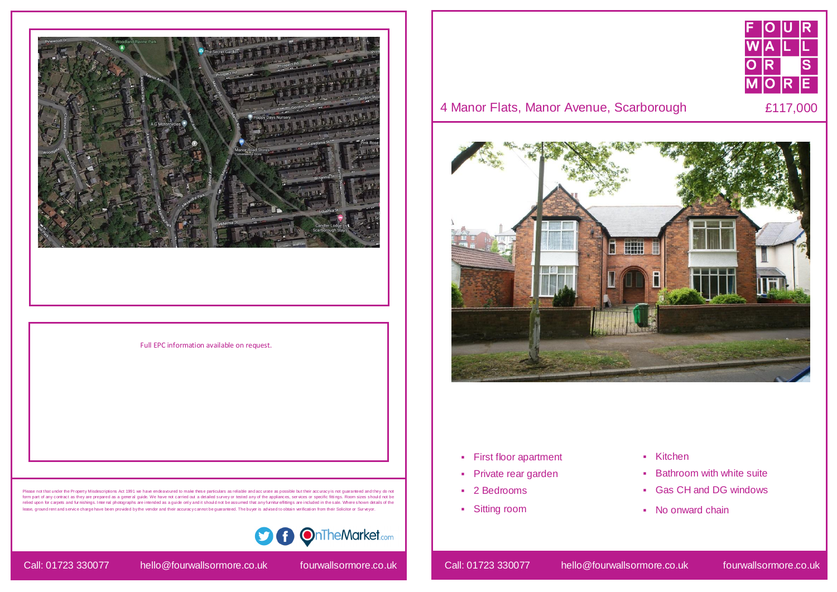- **First floor apartment**
- Private rear garden
- 2 Bedrooms
- Sitting room

- Kitchen
- **Bathroom with white suite**
- Gas CH and DG windows
- No onward chain







## 4 Manor Flats, Manor Avenue, Scarborough E117,000